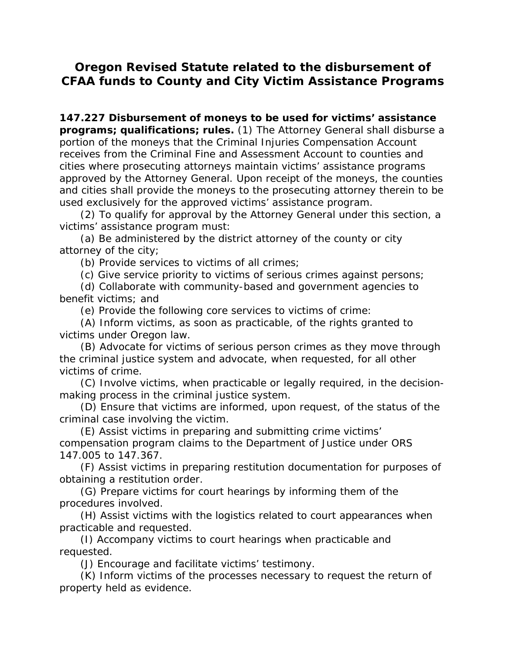## **Oregon Revised Statute related to the disbursement of CFAA funds to County and City Victim Assistance Programs**

**147.227 Disbursement of moneys to be used for victims' assistance programs; qualifications; rules.** (1) The Attorney General shall disburse a portion of the moneys that the Criminal Injuries Compensation Account receives from the Criminal Fine and Assessment Account to counties and cities where prosecuting attorneys maintain victims' assistance programs approved by the Attorney General. Upon receipt of the moneys, the counties and cities shall provide the moneys to the prosecuting attorney therein to be used exclusively for the approved victims' assistance program.

 (2) To qualify for approval by the Attorney General under this section, a victims' assistance program must:

 (a) Be administered by the district attorney of the county or city attorney of the city;

(b) Provide services to victims of all crimes;

(c) Give service priority to victims of serious crimes against persons;

 (d) Collaborate with community-based and government agencies to benefit victims; and

(e) Provide the following core services to victims of crime:

 (A) Inform victims, as soon as practicable, of the rights granted to victims under Oregon law.

 (B) Advocate for victims of serious person crimes as they move through the criminal justice system and advocate, when requested, for all other victims of crime.

 (C) Involve victims, when practicable or legally required, in the decisionmaking process in the criminal justice system.

 (D) Ensure that victims are informed, upon request, of the status of the criminal case involving the victim.

 (E) Assist victims in preparing and submitting crime victims' compensation program claims to the Department of Justice under ORS 147.005 to 147.367.

 (F) Assist victims in preparing restitution documentation for purposes of obtaining a restitution order.

 (G) Prepare victims for court hearings by informing them of the procedures involved.

 (H) Assist victims with the logistics related to court appearances when practicable and requested.

 (I) Accompany victims to court hearings when practicable and requested.

(J) Encourage and facilitate victims' testimony.

 (K) Inform victims of the processes necessary to request the return of property held as evidence.